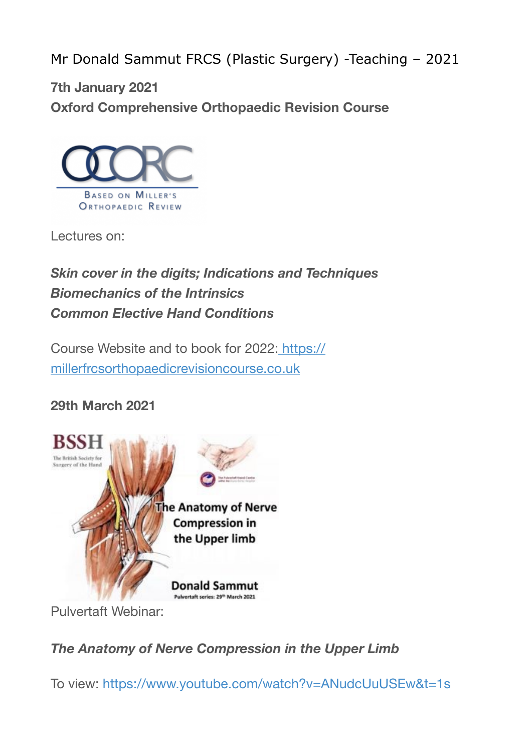Mr Donald Sammut FRCS (Plastic Surgery) -Teaching – 2021

**7th January 2021 Oxford Comprehensive Orthopaedic Revision Course**



Lectures on:

# *Skin cover in the digits; Indications and Techniques Biomechanics of the Intrinsics Common Elective Hand Conditions*

Course Website and to book for 2022: [https://](https://millerfrcsorthopaedicrevisioncourse.co.uk/) [millerfrcsorthopaedicrevisioncourse.co.uk](https://millerfrcsorthopaedicrevisioncourse.co.uk/)

## **29th March 2021**



Pulvertaft Webinar:

### *The Anatomy of Nerve Compression in the Upper Limb*

To view: <https://www.youtube.com/watch?v=ANudcUuUSEw&t=1s>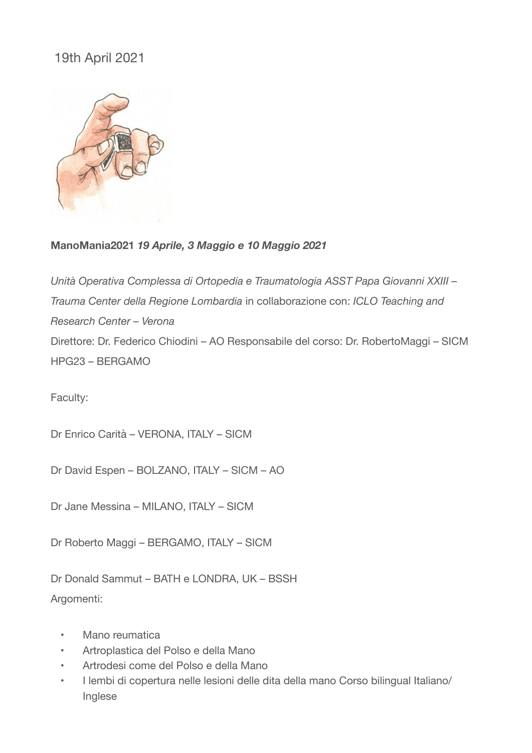#### 19th April 2021



#### **ManoMania2021** *19 Aprile, 3 Maggio e 10 Maggio 2021*

*Unità Operativa Complessa di Ortopedia e Traumatologia ASST Papa Giovanni XXIII – Trauma Center della Regione Lombardia* in collaborazione con: *ICLO Teaching and Research Center – Verona* Direttore: Dr. Federico Chiodini – AO Responsabile del corso: Dr. RobertoMaggi – SICM HPG23 – BERGAMO

Faculty:

Dr Enrico Carità – VERONA, ITALY – SICM

Dr David Espen – BOLZANO, ITALY – SICM – AO

Dr Jane Messina – MILANO, ITALY – SICM

Dr Roberto Maggi – BERGAMO, ITALY – SICM

Dr Donald Sammut – BATH e LONDRA, UK – BSSH Argomenti:

- Mano reumatica
- Artroplastica del Polso e della Mano
- Artrodesi come del Polso e della Mano
- I lembi di copertura nelle lesioni delle dita della mano Corso bilingual Italiano/ Inglese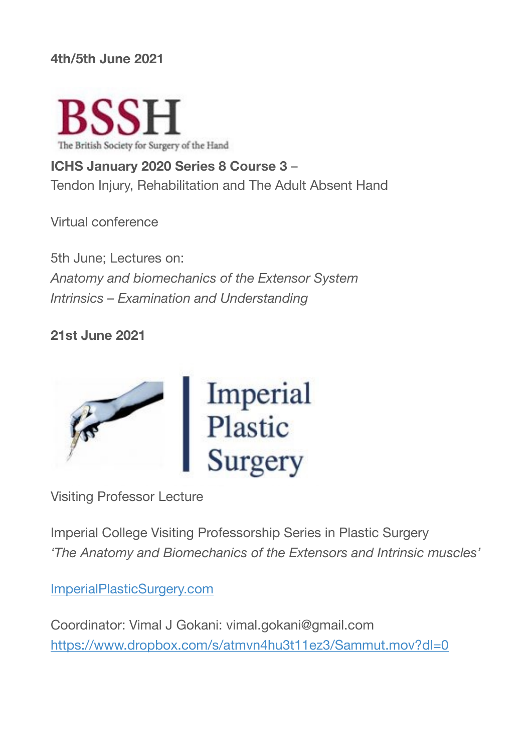#### **4th/5th June 2021**



**ICHS January 2020 Series 8 Course 3** – Tendon Injury, Rehabilitation and The Adult Absent Hand

Virtual conference

5th June; Lectures on: *Anatomy and biomechanics of the Extensor System Intrinsics – Examination and Understanding*

#### **21st June 2021**



Visiting Professor Lecture

Imperial College Visiting Professorship Series in Plastic Surgery *'The Anatomy and Biomechanics of the Extensors and Intrinsic muscles'*

[ImperialPlasticSurgery.com](https://www.imperialplasticsurgery.com/)

Coordinator: Vimal J Gokani: vimal.gokani@gmail.com <https://www.dropbox.com/s/atmvn4hu3t11ez3/Sammut.mov?dl=0>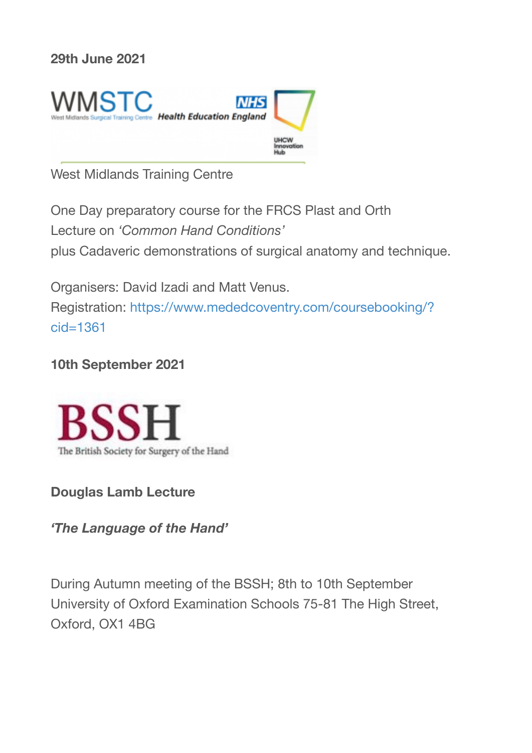#### **29th June 2021**



West Midlands Training Centre

One Day preparatory course for the FRCS Plast and Orth Lecture on *'Common Hand Conditions'* plus Cadaveric demonstrations of surgical anatomy and technique.

Organisers: David Izadi and Matt Venus. Registration: [https://www.mededcoventry.com/coursebooking/?](https://www.mededcoventry.com/coursebooking/?cid=1361) [cid=1361](https://www.mededcoventry.com/coursebooking/?cid=1361)

#### **10th September 2021**



**Douglas Lamb Lecture**

*'The Language of the Hand'*

During Autumn meeting of the BSSH; 8th to 10th September University of Oxford Examination Schools 75-81 The High Street, Oxford, OX1 4BG